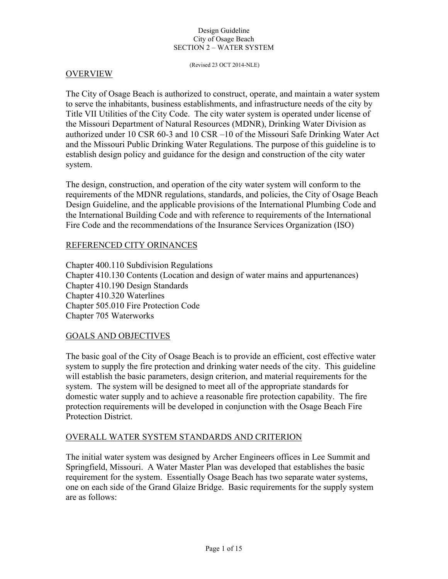(Revised 23 OCT 2014-NLE)

### OVERVIEW

The City of Osage Beach is authorized to construct, operate, and maintain a water system to serve the inhabitants, business establishments, and infrastructure needs of the city by Title VII Utilities of the City Code. The city water system is operated under license of the Missouri Department of Natural Resources (MDNR), Drinking Water Division as authorized under 10 CSR 60-3 and 10 CSR –10 of the Missouri Safe Drinking Water Act and the Missouri Public Drinking Water Regulations. The purpose of this guideline is to establish design policy and guidance for the design and construction of the city water system.

The design, construction, and operation of the city water system will conform to the requirements of the MDNR regulations, standards, and policies, the City of Osage Beach Design Guideline, and the applicable provisions of the International Plumbing Code and the International Building Code and with reference to requirements of the International Fire Code and the recommendations of the Insurance Services Organization (ISO)

### REFERENCED CITY ORINANCES

Chapter 400.110 Subdivision Regulations Chapter 410.130 Contents (Location and design of water mains and appurtenances) Chapter 410.190 Design Standards Chapter 410.320 Waterlines Chapter 505.010 Fire Protection Code Chapter 705 Waterworks

### GOALS AND OBJECTIVES

The basic goal of the City of Osage Beach is to provide an efficient, cost effective water system to supply the fire protection and drinking water needs of the city. This guideline will establish the basic parameters, design criterion, and material requirements for the system. The system will be designed to meet all of the appropriate standards for domestic water supply and to achieve a reasonable fire protection capability. The fire protection requirements will be developed in conjunction with the Osage Beach Fire Protection District.

# OVERALL WATER SYSTEM STANDARDS AND CRITERION

The initial water system was designed by Archer Engineers offices in Lee Summit and Springfield, Missouri. A Water Master Plan was developed that establishes the basic requirement for the system. Essentially Osage Beach has two separate water systems, one on each side of the Grand Glaize Bridge. Basic requirements for the supply system are as follows: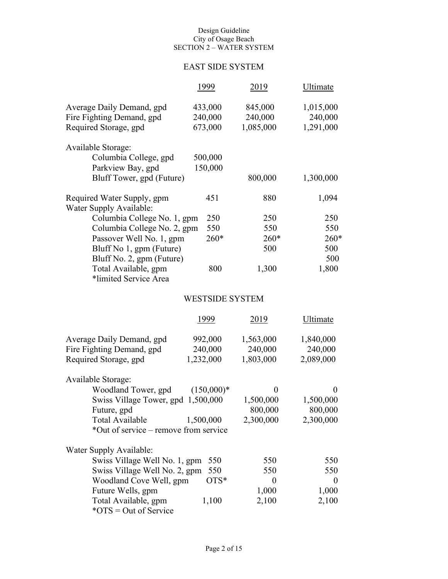# EAST SIDE SYSTEM

|                                                                                               | 1999                          | 2019                            | Ultimate                          |  |
|-----------------------------------------------------------------------------------------------|-------------------------------|---------------------------------|-----------------------------------|--|
| Average Daily Demand, gpd<br>Fire Fighting Demand, gpd<br>Required Storage, gpd               | 433,000<br>240,000<br>673,000 | 845,000<br>240,000<br>1,085,000 | 1,015,000<br>240,000<br>1,291,000 |  |
| Available Storage:<br>Columbia College, gpd<br>Parkview Bay, gpd<br>Bluff Tower, gpd (Future) | 500,000<br>150,000            | 800,000                         | 1,300,000                         |  |
| Required Water Supply, gpm<br>Water Supply Available:                                         | 451                           | 880                             | 1,094                             |  |
| Columbia College No. 1, gpm                                                                   | 250                           | 250                             | 250                               |  |
| Columbia College No. 2, gpm                                                                   | 550                           | 550                             | 550                               |  |
| Passover Well No. 1, gpm                                                                      | $260*$                        | $260*$                          | $260*$                            |  |
| Bluff No 1, gpm (Future)                                                                      |                               | 500                             | 500                               |  |
| Bluff No. 2, gpm (Future)                                                                     |                               |                                 | 500                               |  |
| Total Available, gpm<br>*limited Service Area                                                 | 800                           | 1,300                           | 1,800                             |  |
|                                                                                               | <b>WESTSIDE SYSTEM</b>        |                                 |                                   |  |
|                                                                                               | 1999                          | 2019                            | Ultimate                          |  |
| Average Daily Demand, gpd                                                                     | 992,000                       | 1,563,000                       | 1,840,000                         |  |
| Fire Fighting Demand, gpd                                                                     | 240,000                       | 240,000                         | 240,000                           |  |
| Required Storage, gpd                                                                         | 1,232,000                     | 1,803,000                       | 2,089,000                         |  |
| Available Storage:                                                                            |                               |                                 |                                   |  |
| Woodland Tower, gpd                                                                           | $(150,000)*$                  | $\overline{0}$                  | $\theta$                          |  |
| Swiss Village Tower, gpd 1,500,000                                                            |                               | 1,500,000                       | 1,500,000                         |  |
| Future, gpd                                                                                   |                               | 800,000                         | 800,000                           |  |
| <b>Total Available</b>                                                                        | 1,500,000                     | 2,300,000                       | 2,300,000                         |  |
| *Out of service – remove from service                                                         |                               |                                 |                                   |  |

| Water Supply Available:           |        |       |          |
|-----------------------------------|--------|-------|----------|
| Swiss Village Well No. 1, gpm 550 |        | 550   | 550      |
| Swiss Village Well No. 2, gpm 550 |        | 550   | 550      |
| Woodland Cove Well, gpm           | $OTS*$ |       | $\Omega$ |
| Future Wells, gpm                 |        | 1,000 | 1,000    |
| Total Available, gpm              | 1,100  | 2,100 | 2,100    |
| $*OTS = Out of Service$           |        |       |          |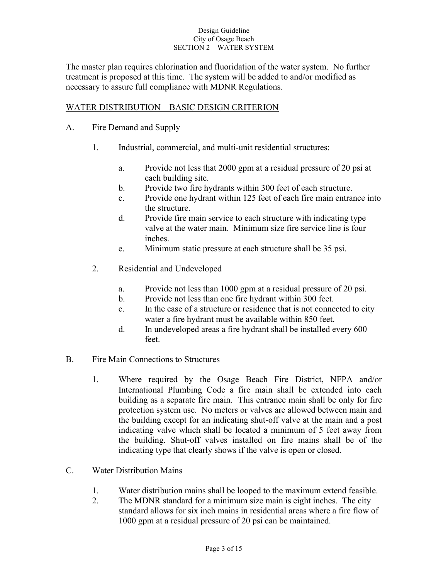The master plan requires chlorination and fluoridation of the water system. No further treatment is proposed at this time. The system will be added to and/or modified as necessary to assure full compliance with MDNR Regulations.

# WATER DISTRIBUTION – BASIC DESIGN CRITERION

- A. Fire Demand and Supply
	- 1. Industrial, commercial, and multi-unit residential structures:
		- a. Provide not less that 2000 gpm at a residual pressure of 20 psi at each building site.
		- b. Provide two fire hydrants within 300 feet of each structure.
		- c. Provide one hydrant within 125 feet of each fire main entrance into the structure.
		- d. Provide fire main service to each structure with indicating type valve at the water main. Minimum size fire service line is four inches.
		- e. Minimum static pressure at each structure shall be 35 psi.
	- 2. Residential and Undeveloped
		- a. Provide not less than 1000 gpm at a residual pressure of 20 psi.
		- b. Provide not less than one fire hydrant within 300 feet.
		- c. In the case of a structure or residence that is not connected to city water a fire hydrant must be available within 850 feet.
		- d. In undeveloped areas a fire hydrant shall be installed every 600 feet.
- B. Fire Main Connections to Structures
	- 1. Where required by the Osage Beach Fire District, NFPA and/or International Plumbing Code a fire main shall be extended into each building as a separate fire main. This entrance main shall be only for fire protection system use. No meters or valves are allowed between main and the building except for an indicating shut-off valve at the main and a post indicating valve which shall be located a minimum of 5 feet away from the building. Shut-off valves installed on fire mains shall be of the indicating type that clearly shows if the valve is open or closed.
- C. Water Distribution Mains
	- 1. Water distribution mains shall be looped to the maximum extend feasible.
	- 2. The MDNR standard for a minimum size main is eight inches. The city standard allows for six inch mains in residential areas where a fire flow of 1000 gpm at a residual pressure of 20 psi can be maintained.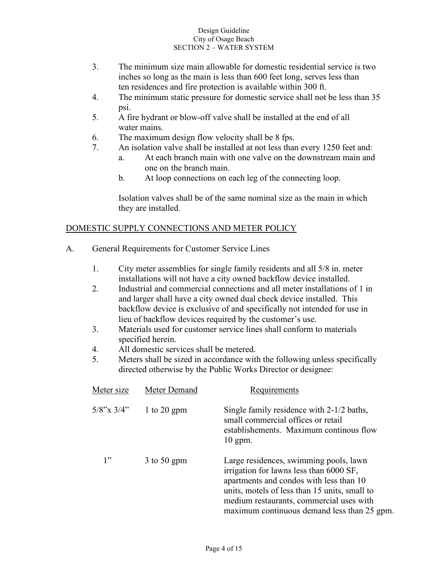- 3. The minimum size main allowable for domestic residential service is two inches so long as the main is less than 600 feet long, serves less than ten residences and fire protection is available within 300 ft.
- 4. The minimum static pressure for domestic service shall not be less than 35 psi.
- 5. A fire hydrant or blow-off valve shall be installed at the end of all water mains.
- 6. The maximum design flow velocity shall be 8 fps.
- 7. An isolation valve shall be installed at not less than every 1250 feet and:
	- a. At each branch main with one valve on the downstream main and one on the branch main.
	- b. At loop connections on each leg of the connecting loop.

Isolation valves shall be of the same nominal size as the main in which they are installed.

# DOMESTIC SUPPLY CONNECTIONS AND METER POLICY

- A. General Requirements for Customer Service Lines
	- 1. City meter assemblies for single family residents and all 5/8 in. meter installations will not have a city owned backflow device installed.
	- 2. Industrial and commercial connections and all meter installations of 1 in and larger shall have a city owned dual check device installed. This backflow device is exclusive of and specifically not intended for use in lieu of backflow devices required by the customer's use.
	- 3. Materials used for customer service lines shall conform to materials specified herein.
	- 4. All domestic services shall be metered.
	- 5. Meters shall be sized in accordance with the following unless specifically directed otherwise by the Public Works Director or designee:

| Meter size       | Meter Demand  | Requirements                                                                                                                                                                                                                                                             |
|------------------|---------------|--------------------------------------------------------------------------------------------------------------------------------------------------------------------------------------------------------------------------------------------------------------------------|
| $5/8$ "x $3/4$ " | 1 to 20 gpm   | Single family residence with 2-1/2 baths,<br>small commercial offices or retail<br>establishements. Maximum continous flow<br>$10$ gpm.                                                                                                                                  |
| 1"               | $3$ to 50 gpm | Large residences, swimming pools, lawn<br>irrigation for lawns less than 6000 SF,<br>apartments and condos with less than 10<br>units, motels of less than 15 units, small to<br>medium restaurants, commercial uses with<br>maximum continuous demand less than 25 gpm. |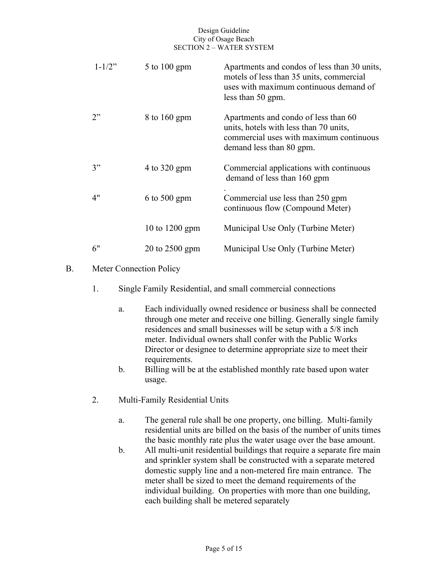| $1 - 1/2$ " | $5$ to $100$ gpm | Apartments and condos of less than 30 units,<br>motels of less than 35 units, commercial<br>uses with maximum continuous demand of                    |
|-------------|------------------|-------------------------------------------------------------------------------------------------------------------------------------------------------|
|             |                  | less than 50 gpm.                                                                                                                                     |
| 2"          | 8 to 160 gpm     | Apartments and condo of less than 60<br>units, hotels with less than 70 units,<br>commercial uses with maximum continuous<br>demand less than 80 gpm. |
| 3"          | 4 to 320 gpm     | Commercial applications with continuous<br>demand of less than 160 gpm                                                                                |
| 4"          | $6$ to 500 gpm   | Commercial use less than 250 gpm<br>continuous flow (Compound Meter)                                                                                  |
|             | 10 to $1200$ gpm | Municipal Use Only (Turbine Meter)                                                                                                                    |
| 6"          | 20 to 2500 gpm   | Municipal Use Only (Turbine Meter)                                                                                                                    |

## B. Meter Connection Policy

- 1. Single Family Residential, and small commercial connections
	- a. Each individually owned residence or business shall be connected through one meter and receive one billing. Generally single family residences and small businesses will be setup with a 5/8 inch meter. Individual owners shall confer with the Public Works Director or designee to determine appropriate size to meet their requirements.
	- b. Billing will be at the established monthly rate based upon water usage.
- 2. Multi-Family Residential Units
	- a. The general rule shall be one property, one billing. Multi-family residential units are billed on the basis of the number of units times the basic monthly rate plus the water usage over the base amount.
	- b. All multi-unit residential buildings that require a separate fire main and sprinkler system shall be constructed with a separate metered domestic supply line and a non-metered fire main entrance. The meter shall be sized to meet the demand requirements of the individual building. On properties with more than one building, each building shall be metered separately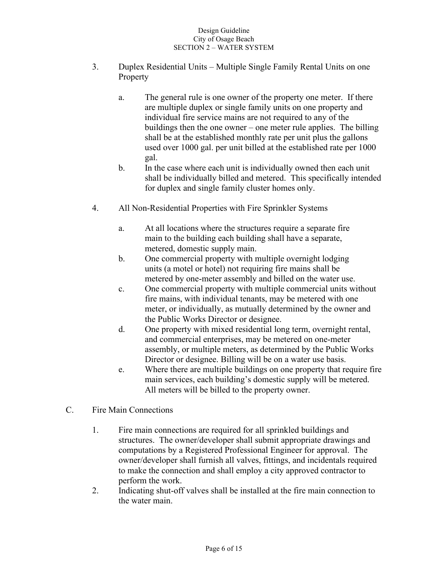- 3. Duplex Residential Units Multiple Single Family Rental Units on one Property
	- a. The general rule is one owner of the property one meter. If there are multiple duplex or single family units on one property and individual fire service mains are not required to any of the buildings then the one owner – one meter rule applies. The billing shall be at the established monthly rate per unit plus the gallons used over 1000 gal. per unit billed at the established rate per 1000 gal.
	- b. In the case where each unit is individually owned then each unit shall be individually billed and metered. This specifically intended for duplex and single family cluster homes only.
- 4. All Non-Residential Properties with Fire Sprinkler Systems
	- a. At all locations where the structures require a separate fire main to the building each building shall have a separate, metered, domestic supply main.
	- b. One commercial property with multiple overnight lodging units (a motel or hotel) not requiring fire mains shall be metered by one-meter assembly and billed on the water use.
	- c. One commercial property with multiple commercial units without fire mains, with individual tenants, may be metered with one meter, or individually, as mutually determined by the owner and the Public Works Director or designee.
	- d. One property with mixed residential long term, overnight rental, and commercial enterprises, may be metered on one-meter assembly, or multiple meters, as determined by the Public Works Director or designee. Billing will be on a water use basis.
	- e. Where there are multiple buildings on one property that require fire main services, each building's domestic supply will be metered. All meters will be billed to the property owner.
- C. Fire Main Connections
	- 1. Fire main connections are required for all sprinkled buildings and structures. The owner/developer shall submit appropriate drawings and computations by a Registered Professional Engineer for approval. The owner/developer shall furnish all valves, fittings, and incidentals required to make the connection and shall employ a city approved contractor to perform the work.
	- 2. Indicating shut-off valves shall be installed at the fire main connection to the water main.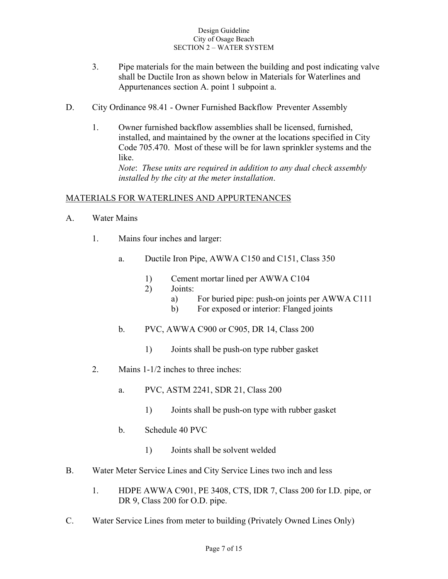- 3. Pipe materials for the main between the building and post indicating valve shall be Ductile Iron as shown below in Materials for Waterlines and Appurtenances section A. point 1 subpoint a.
- D. City Ordinance 98.41 Owner Furnished Backflow Preventer Assembly
	- 1. Owner furnished backflow assemblies shall be licensed, furnished, installed, and maintained by the owner at the locations specified in City Code 705.470. Most of these will be for lawn sprinkler systems and the like. *Note*: *These units are required in addition to any dual check assembly installed by the city at the meter installation*.

### MATERIALS FOR WATERLINES AND APPURTENANCES

- A. Water Mains
	- 1. Mains four inches and larger:
		- a. Ductile Iron Pipe, AWWA C150 and C151, Class 350
			- 1) Cement mortar lined per AWWA C104
			- 2) Joints:
				- a) For buried pipe: push-on joints per AWWA C111
				- b) For exposed or interior: Flanged joints
		- b. PVC, AWWA C900 or C905, DR 14, Class 200
			- 1) Joints shall be push-on type rubber gasket
	- 2. Mains 1-1/2 inches to three inches:
		- a. PVC, ASTM 2241, SDR 21, Class 200
			- 1) Joints shall be push-on type with rubber gasket
		- b. Schedule 40 PVC
			- 1) Joints shall be solvent welded
- B. Water Meter Service Lines and City Service Lines two inch and less
	- 1. HDPE AWWA C901, PE 3408, CTS, IDR 7, Class 200 for I.D. pipe, or DR 9, Class 200 for O.D. pipe.
- C. Water Service Lines from meter to building (Privately Owned Lines Only)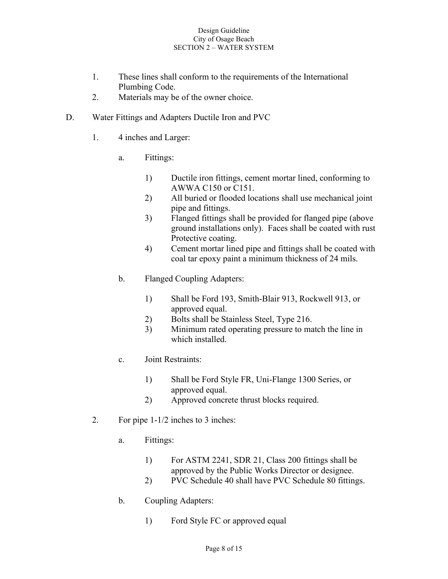- 1. These lines shall conform to the requirements of the International Plumbing Code.
- 2. Materials may be of the owner choice.
- D. Water Fittings and Adapters Ductile Iron and PVC
	- 1. 4 inches and Larger:
		- a. Fittings:
			- 1) Ductile iron fittings, cement mortar lined, conforming to AWWA C150 or C151.
			- 2) All buried or flooded locations shall use mechanical joint pipe and fittings.
			- 3) Flanged fittings shall be provided for flanged pipe (above ground installations only). Faces shall be coated with rust Protective coating.
			- 4) Cement mortar lined pipe and fittings shall be coated with coal tar epoxy paint a minimum thickness of 24 mils.
		- b. Flanged Coupling Adapters:
			- 1) Shall be Ford 193, Smith-Blair 913, Rockwell 913, or approved equal.
			- 2) Bolts shall be Stainless Steel, Type 216.
			- 3) Minimum rated operating pressure to match the line in which installed.
		- c. Joint Restraints:
			- 1) Shall be Ford Style FR, Uni-Flange 1300 Series, or approved equal.
			- 2) Approved concrete thrust blocks required.
	- 2. For pipe 1-1/2 inches to 3 inches:
		- a. Fittings:
			- 1) For ASTM 2241, SDR 21, Class 200 fittings shall be approved by the Public Works Director or designee.
			- 2) PVC Schedule 40 shall have PVC Schedule 80 fittings.
		- b. Coupling Adapters:
			- 1) Ford Style FC or approved equal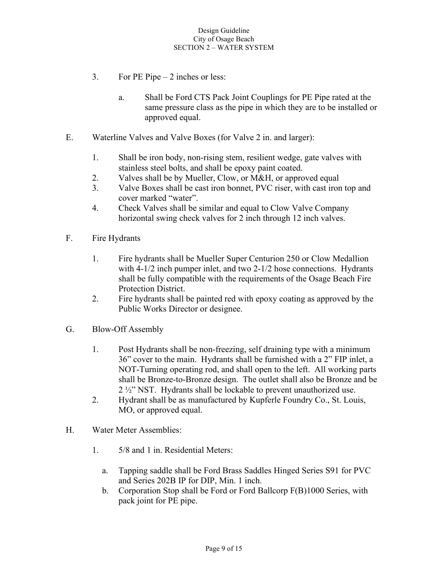- 3. For PE Pipe 2 inches or less:
	- a. Shall be Ford CTS Pack Joint Couplings for PE Pipe rated at the same pressure class as the pipe in which they are to be installed or approved equal.
- E. Waterline Valves and Valve Boxes (for Valve 2 in. and larger):
	- 1. Shall be iron body, non-rising stem, resilient wedge, gate valves with stainless steel bolts, and shall be epoxy paint coated.
	- 2. Valves shall be by Mueller, Clow, or M&H, or approved equal
	- 3. Valve Boxes shall be cast iron bonnet, PVC riser, with cast iron top and cover marked "water".
	- 4. Check Valves shall be similar and equal to Clow Valve Company horizontal swing check valves for 2 inch through 12 inch valves.
- F. Fire Hydrants
	- 1. Fire hydrants shall be Mueller Super Centurion 250 or Clow Medallion with 4-1/2 inch pumper inlet, and two 2-1/2 hose connections. Hydrants shall be fully compatible with the requirements of the Osage Beach Fire Protection District.
	- 2. Fire hydrants shall be painted red with epoxy coating as approved by the Public Works Director or designee.
- G. Blow-Off Assembly
	- 1. Post Hydrants shall be non-freezing, self draining type with a minimum 36" cover to the main. Hydrants shall be furnished with a 2" FIP inlet, a NOT-Turning operating rod, and shall open to the left. All working parts shall be Bronze-to-Bronze design. The outlet shall also be Bronze and be 2 ½" NST. Hydrants shall be lockable to prevent unauthorized use.
	- 2. Hydrant shall be as manufactured by Kupferle Foundry Co., St. Louis, MO, or approved equal.
- H. Water Meter Assemblies:
	- 1. 5/8 and 1 in. Residential Meters:
		- a. Tapping saddle shall be Ford Brass Saddles Hinged Series S91 for PVC and Series 202B IP for DIP, Min. 1 inch.
		- b. Corporation Stop shall be Ford or Ford Ballcorp F(B)1000 Series, with pack joint for PE pipe.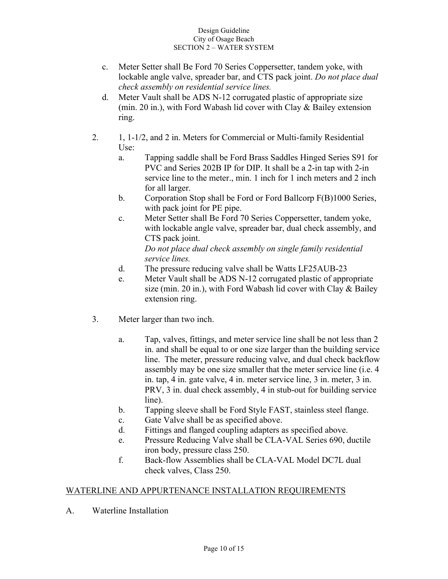- c. Meter Setter shall Be Ford 70 Series Coppersetter, tandem yoke, with lockable angle valve, spreader bar, and CTS pack joint. *Do not place dual check assembly on residential service lines.*
- d. Meter Vault shall be ADS N-12 corrugated plastic of appropriate size (min. 20 in.), with Ford Wabash lid cover with Clay & Bailey extension ring.
- 2. 1, 1-1/2, and 2 in. Meters for Commercial or Multi-family Residential Use:
	- a. Tapping saddle shall be Ford Brass Saddles Hinged Series S91 for PVC and Series 202B IP for DIP. It shall be a 2-in tap with 2-in service line to the meter., min. 1 inch for 1 inch meters and 2 inch for all larger.
	- b. Corporation Stop shall be Ford or Ford Ballcorp F(B)1000 Series, with pack joint for PE pipe.
	- c. Meter Setter shall Be Ford 70 Series Coppersetter, tandem yoke, with lockable angle valve, spreader bar, dual check assembly, and CTS pack joint.

*Do not place dual check assembly on single family residential service lines.*

- d. The pressure reducing valve shall be Watts LF25AUB-23
- e. Meter Vault shall be ADS N-12 corrugated plastic of appropriate size (min. 20 in.), with Ford Wabash lid cover with Clay & Bailey extension ring.
- 3. Meter larger than two inch.
	- a. Tap, valves, fittings, and meter service line shall be not less than 2 in. and shall be equal to or one size larger than the building service line. The meter, pressure reducing valve, and dual check backflow assembly may be one size smaller that the meter service line (i.e. 4 in. tap, 4 in. gate valve, 4 in. meter service line, 3 in. meter, 3 in. PRV, 3 in. dual check assembly, 4 in stub-out for building service line).
	- b. Tapping sleeve shall be Ford Style FAST, stainless steel flange.
	- c. Gate Valve shall be as specified above.
	- d. Fittings and flanged coupling adapters as specified above.
	- e. Pressure Reducing Valve shall be CLA-VAL Series 690, ductile iron body, pressure class 250.
	- f. Back-flow Assemblies shall be CLA-VAL Model DC7L dual check valves, Class 250.

# WATERLINE AND APPURTENANCE INSTALLATION REQUIREMENTS

A. Waterline Installation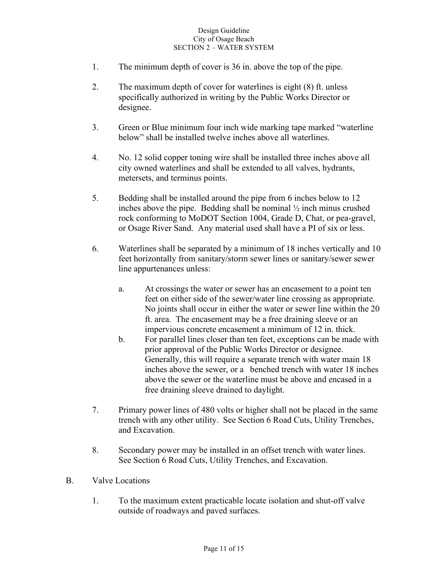- 1. The minimum depth of cover is 36 in. above the top of the pipe.
- 2. The maximum depth of cover for waterlines is eight (8) ft. unless specifically authorized in writing by the Public Works Director or designee.
- 3. Green or Blue minimum four inch wide marking tape marked "waterline below" shall be installed twelve inches above all waterlines.
- 4. No. 12 solid copper toning wire shall be installed three inches above all city owned waterlines and shall be extended to all valves, hydrants, metersets, and terminus points.
- 5. Bedding shall be installed around the pipe from 6 inches below to 12 inches above the pipe. Bedding shall be nominal ½ inch minus crushed rock conforming to MoDOT Section 1004, Grade D, Chat, or pea-gravel, or Osage River Sand. Any material used shall have a PI of six or less.
- 6. Waterlines shall be separated by a minimum of 18 inches vertically and 10 feet horizontally from sanitary/storm sewer lines or sanitary/sewer sewer line appurtenances unless:
	- a. At crossings the water or sewer has an encasement to a point ten feet on either side of the sewer/water line crossing as appropriate. No joints shall occur in either the water or sewer line within the 20 ft. area. The encasement may be a free draining sleeve or an impervious concrete encasement a minimum of 12 in. thick.
	- b. For parallel lines closer than ten feet, exceptions can be made with prior approval of the Public Works Director or designee. Generally, this will require a separate trench with water main 18 inches above the sewer, or a benched trench with water 18 inches above the sewer or the waterline must be above and encased in a free draining sleeve drained to daylight.
- 7. Primary power lines of 480 volts or higher shall not be placed in the same trench with any other utility. See Section 6 Road Cuts, Utility Trenches, and Excavation.
- 8. Secondary power may be installed in an offset trench with water lines. See Section 6 Road Cuts, Utility Trenches, and Excavation.
- B. Valve Locations
	- 1. To the maximum extent practicable locate isolation and shut-off valve outside of roadways and paved surfaces.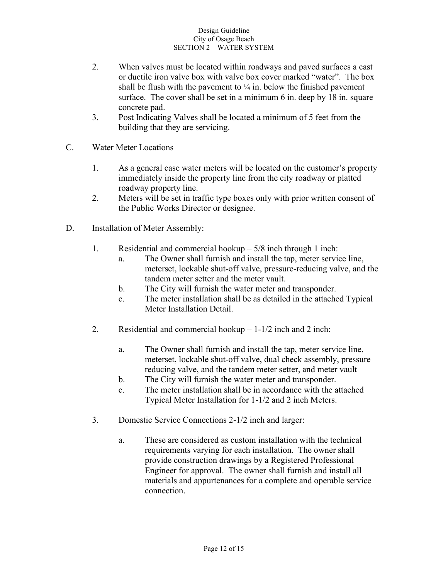- 2. When valves must be located within roadways and paved surfaces a cast or ductile iron valve box with valve box cover marked "water". The box shall be flush with the pavement to  $\frac{1}{4}$  in. below the finished pavement surface. The cover shall be set in a minimum 6 in. deep by 18 in. square concrete pad.
- 3. Post Indicating Valves shall be located a minimum of 5 feet from the building that they are servicing.
- C. Water Meter Locations
	- 1. As a general case water meters will be located on the customer's property immediately inside the property line from the city roadway or platted roadway property line.
	- 2. Meters will be set in traffic type boxes only with prior written consent of the Public Works Director or designee.
- D. Installation of Meter Assembly:
	- 1. Residential and commercial hookup 5/8 inch through 1 inch:
		- a. The Owner shall furnish and install the tap, meter service line, meterset, lockable shut-off valve, pressure-reducing valve, and the tandem meter setter and the meter vault.
		- b. The City will furnish the water meter and transponder.
		- c. The meter installation shall be as detailed in the attached Typical Meter Installation Detail.
	- 2. Residential and commercial hookup  $-1-1/2$  inch and 2 inch:
		- a. The Owner shall furnish and install the tap, meter service line, meterset, lockable shut-off valve, dual check assembly, pressure reducing valve, and the tandem meter setter, and meter vault
		- b. The City will furnish the water meter and transponder.
		- c. The meter installation shall be in accordance with the attached Typical Meter Installation for 1-1/2 and 2 inch Meters.
	- 3. Domestic Service Connections 2-1/2 inch and larger:
		- a. These are considered as custom installation with the technical requirements varying for each installation. The owner shall provide construction drawings by a Registered Professional Engineer for approval. The owner shall furnish and install all materials and appurtenances for a complete and operable service connection.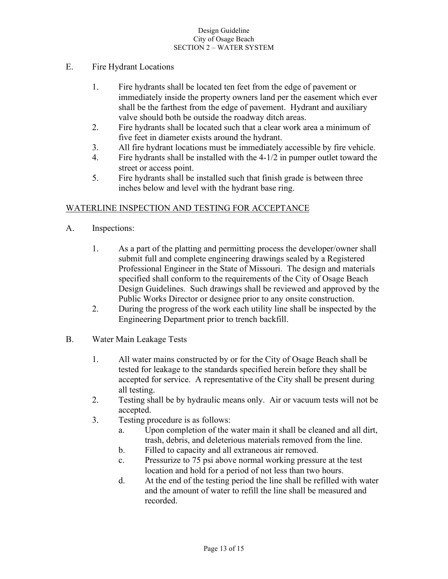## E. Fire Hydrant Locations

- 1. Fire hydrants shall be located ten feet from the edge of pavement or immediately inside the property owners land per the easement which ever shall be the farthest from the edge of pavement. Hydrant and auxiliary valve should both be outside the roadway ditch areas.
- 2. Fire hydrants shall be located such that a clear work area a minimum of five feet in diameter exists around the hydrant.
- 3. All fire hydrant locations must be immediately accessible by fire vehicle.
- 4. Fire hydrants shall be installed with the 4-1/2 in pumper outlet toward the street or access point.
- 5. Fire hydrants shall be installed such that finish grade is between three inches below and level with the hydrant base ring.

### WATERLINE INSPECTION AND TESTING FOR ACCEPTANCE

- A. Inspections:
	- 1. As a part of the platting and permitting process the developer/owner shall submit full and complete engineering drawings sealed by a Registered Professional Engineer in the State of Missouri. The design and materials specified shall conform to the requirements of the City of Osage Beach Design Guidelines. Such drawings shall be reviewed and approved by the Public Works Director or designee prior to any onsite construction.
	- 2. During the progress of the work each utility line shall be inspected by the Engineering Department prior to trench backfill.
- B. Water Main Leakage Tests
	- 1. All water mains constructed by or for the City of Osage Beach shall be tested for leakage to the standards specified herein before they shall be accepted for service. A representative of the City shall be present during all testing.
	- 2. Testing shall be by hydraulic means only. Air or vacuum tests will not be accepted.
	- 3. Testing procedure is as follows:
		- a. Upon completion of the water main it shall be cleaned and all dirt, trash, debris, and deleterious materials removed from the line.
		- b. Filled to capacity and all extraneous air removed.
		- c. Pressurize to 75 psi above normal working pressure at the test location and hold for a period of not less than two hours.
		- d. At the end of the testing period the line shall be refilled with water and the amount of water to refill the line shall be measured and recorded.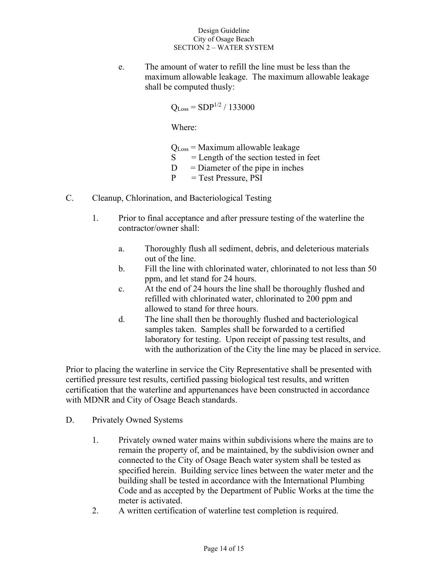e. The amount of water to refill the line must be less than the maximum allowable leakage. The maximum allowable leakage shall be computed thusly:

$$
Q_{\rm Loss} = SDP^{1/2} / 133000
$$

Where:

 $Q<sub>Loss</sub> = Maximum$  allowable leakage

- $S =$  Length of the section tested in feet
- $D =$ Diameter of the pipe in inches
- $P = Test Pressure, PSI$
- C. Cleanup, Chlorination, and Bacteriological Testing
	- 1. Prior to final acceptance and after pressure testing of the waterline the contractor/owner shall:
		- a. Thoroughly flush all sediment, debris, and deleterious materials out of the line.
		- b. Fill the line with chlorinated water, chlorinated to not less than 50 ppm, and let stand for 24 hours.
		- c. At the end of 24 hours the line shall be thoroughly flushed and refilled with chlorinated water, chlorinated to 200 ppm and allowed to stand for three hours.
		- d. The line shall then be thoroughly flushed and bacteriological samples taken. Samples shall be forwarded to a certified laboratory for testing. Upon receipt of passing test results, and with the authorization of the City the line may be placed in service.

Prior to placing the waterline in service the City Representative shall be presented with certified pressure test results, certified passing biological test results, and written certification that the waterline and appurtenances have been constructed in accordance with MDNR and City of Osage Beach standards.

- D. Privately Owned Systems
	- 1. Privately owned water mains within subdivisions where the mains are to remain the property of, and be maintained, by the subdivision owner and connected to the City of Osage Beach water system shall be tested as specified herein. Building service lines between the water meter and the building shall be tested in accordance with the International Plumbing Code and as accepted by the Department of Public Works at the time the meter is activated.
	- 2. A written certification of waterline test completion is required.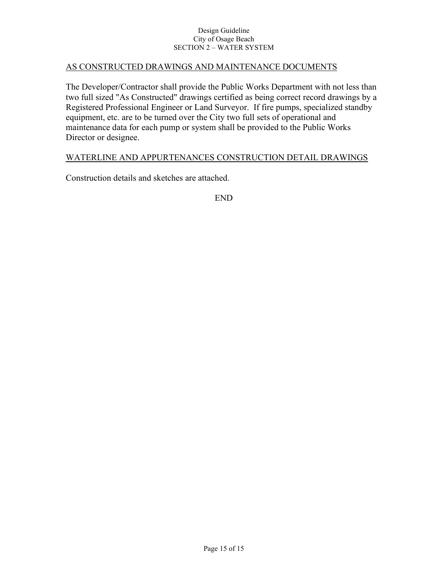### AS CONSTRUCTED DRAWINGS AND MAINTENANCE DOCUMENTS

The Developer/Contractor shall provide the Public Works Department with not less than two full sized "As Constructed" drawings certified as being correct record drawings by a Registered Professional Engineer or Land Surveyor. If fire pumps, specialized standby equipment, etc. are to be turned over the City two full sets of operational and maintenance data for each pump or system shall be provided to the Public Works Director or designee.

### WATERLINE AND APPURTENANCES CONSTRUCTION DETAIL DRAWINGS

Construction details and sketches are attached.

END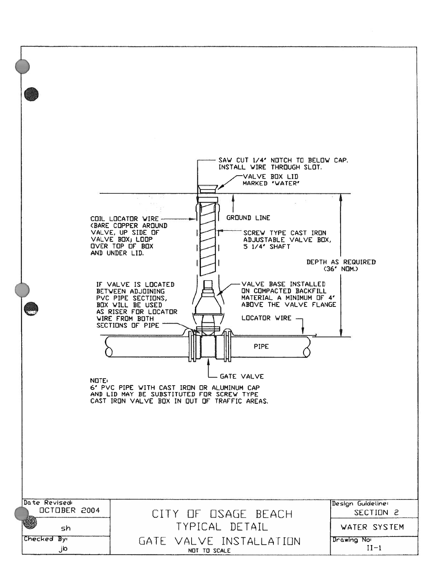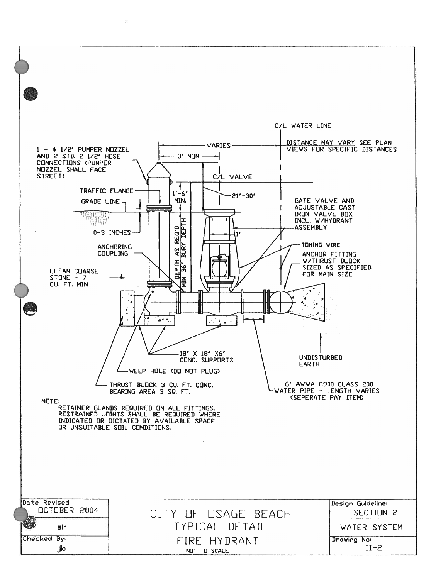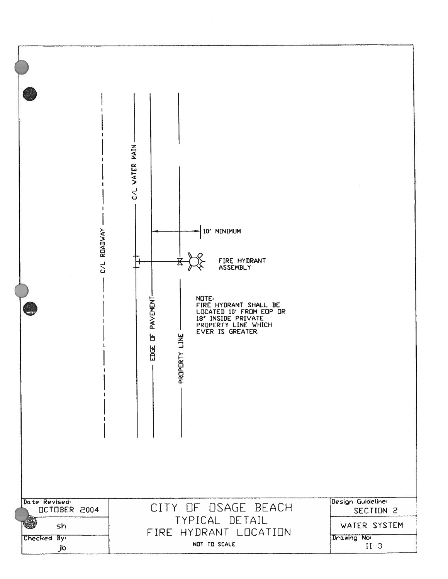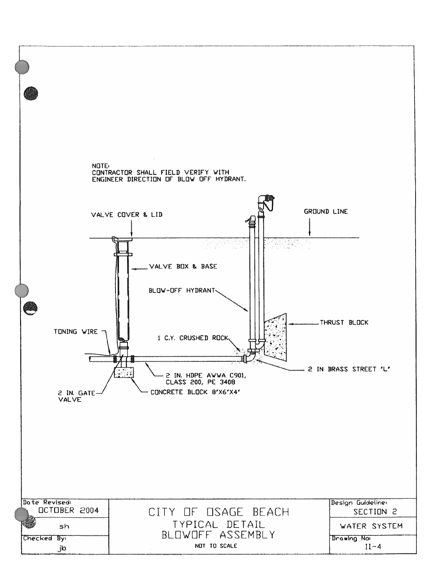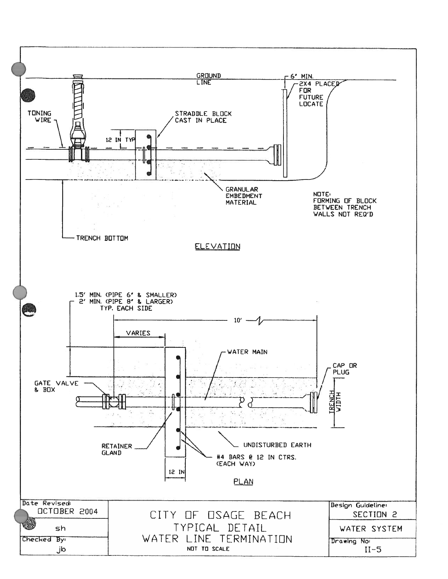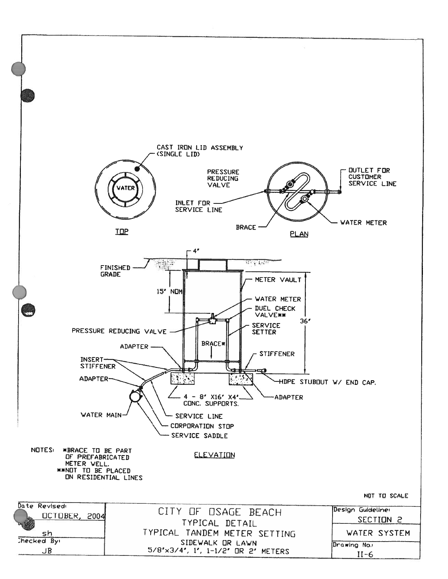![](_page_20_Figure_0.jpeg)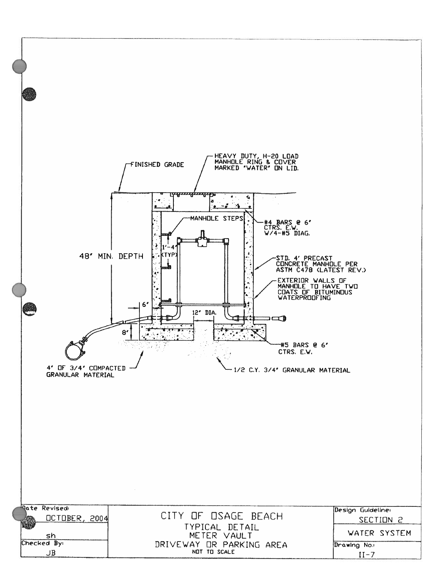![](_page_21_Figure_0.jpeg)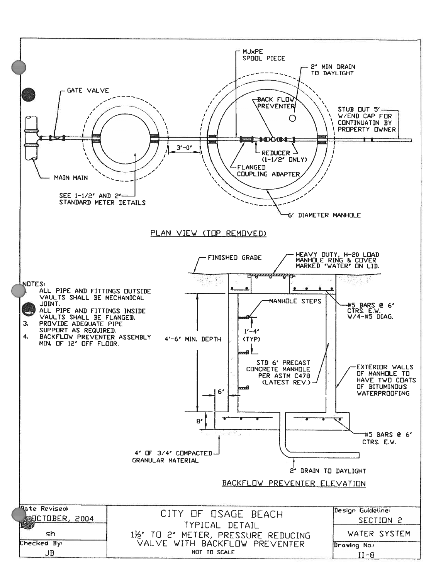![](_page_22_Figure_0.jpeg)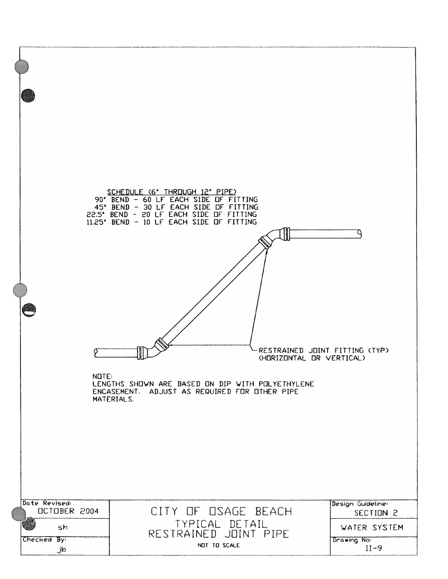![](_page_23_Figure_0.jpeg)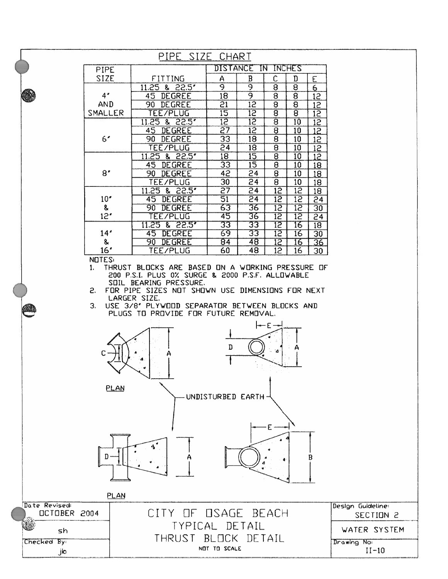![](_page_24_Figure_0.jpeg)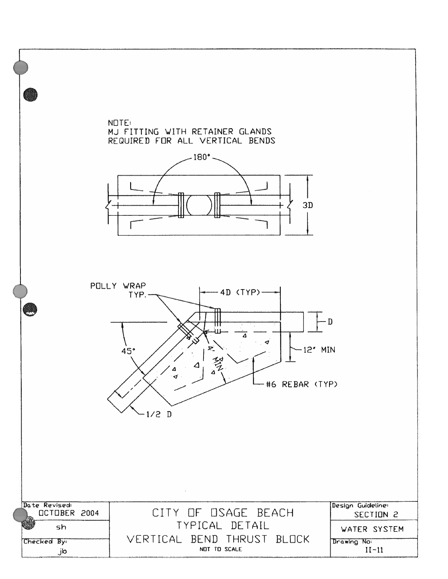![](_page_25_Figure_0.jpeg)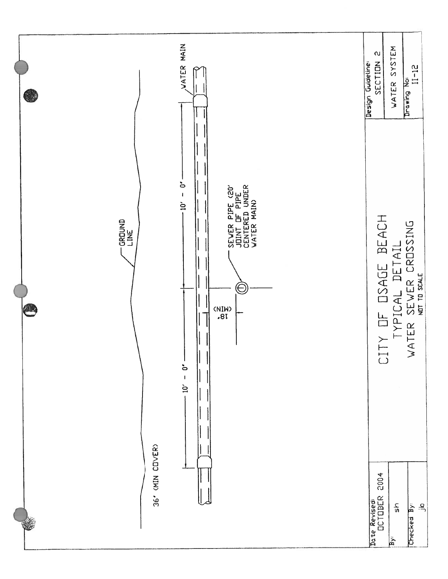![](_page_26_Figure_0.jpeg)